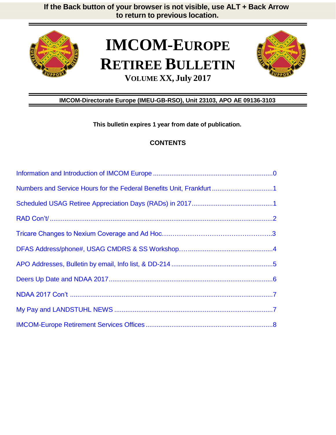

# **IMCOM-EUROPE RETIREE BULLETIN VOLUME XX, July 2017**



# **IMCOM-Directorate Europe (IMEU-GB-RSO), Unit 23103, APO AE 09136-3103**

**This bulletin expires 1 year from date of publication.**

# **CONTENTS**

| Numbers and Service Hours for the Federal Benefits Unit, Frankfurt1 |  |
|---------------------------------------------------------------------|--|
|                                                                     |  |
|                                                                     |  |
|                                                                     |  |
|                                                                     |  |
|                                                                     |  |
|                                                                     |  |
|                                                                     |  |
|                                                                     |  |
|                                                                     |  |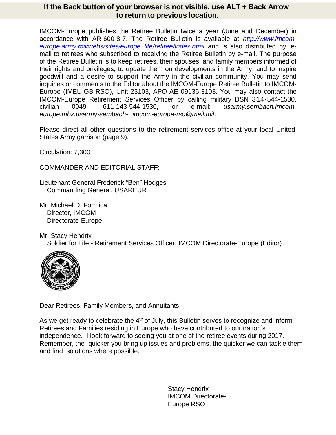IMCOM-Europe publishes the Retiree Bulletin twice a year (June and December) in accordance with AR 600-8-7. The Retiree Bulletin is available at *http://www.imcomeurope.army.mil/webs/sites/europe\_life/retiree/index.html* and is also distributed by email to retirees who subscribed to receiving the Retiree Bulletin by e-mail. The purpose of the Retiree Bulletin is to keep retirees, their spouses, and family members informed of their rights and privileges, to update them on developments in the Army, and to inspire goodwill and a desire to support the Army in the civilian community. You may send inquiries or comments to the Editor about the IMCOM-Europe Retiree Bulletin to IMCOM-Europe (IMEU-GB-RSO), Unit 23103, APO AE 09136-3103. You may also contact the IMCOM-Europe Retirement Services Officer by calling military DSN 314-544-1530, civilian 0049- 611-143-544-1530, or e-mail: *[usarmy.sembach.imcom](mailto:usarmy.sembach.imcom-europe.mbx.usarmy-sembach-imcom-europe-rso@mail.mil)[europe.mbx.usarmy-sembach-](mailto:usarmy.sembach.imcom-europe.mbx.usarmy-sembach-imcom-europe-rso@mail.mil) [imcom-europe-rso@mail.mil](mailto:usarmy.sembach.imcom-europe.mbx.usarmy-sembach-imcom-europe-rso@mail.mil)*.

Please direct all other questions to the retirement services office at your local United States Army garrison (page 9).

Circulation: 7,300

COMMANDER AND EDITORIAL STAFF:

Lieutenant General Frederick "Ben" Hodges Commanding General, USAREUR

Mr. Michael D. Formica Director, IMCOM Directorate-Europe

Mr. Stacy Hendrix Soldier for Life - Retirement Services Officer, IMCOM Directorate-Europe (Editor)



Dear Retirees, Family Members, and Annuitants:

As we get ready to celebrate the  $4<sup>th</sup>$  of July, this Bulletin serves to recognize and inform Retirees and Families residing in Europe who have contributed to our nation's independence. I look forward to seeing you at one of the retiree events during 2017. Remember, the quicker you bring up issues and problems, the quicker we can tackle them and find solutions where possible.

> Stacy Hendrix IMCOM Directorate-Europe RSO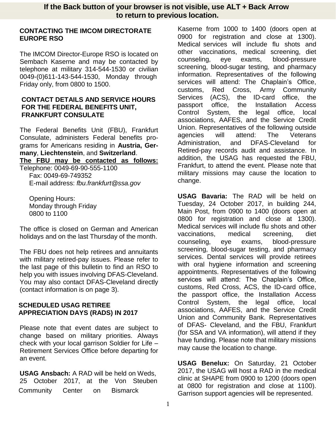#### **CONTACTING THE IMCOM DIRECTORATE EUROPE RSO**

The IMCOM Director-Europe RSO is located on Sembach Kaserne and may be contacted by telephone at military 314-544-1530 or civilian 0049-(0)611-143-544-1530, Monday through Friday only, from 0800 to 1500.

#### **CONTACT DETAILS AND SERVICE HOURS FOR THE FEDERAL BENEFITS UNIT, FRANKFURT CONSULATE**

The Federal Benefits Unit (FBU), Frankfurt Consulate, administers Federal benefits programs for Americans residing in **Austria, Germany**, **Liechtenstein**, and **Switzerland**. **The FBU may be contacted as follows:**

Telephone: 0049-69-90-555-1100 Fax: 0049-69-749352

E-mail address: *[fbu.frankfurt@ssa.gov](mailto:fbu.frankfurt@ssa.gov)*

Opening Hours: Monday through Friday 0800 to 1100

The office is closed on German and American holidays and on the last Thursday of the month.

The FBU does not help retirees and annuitants with military retired-pay issues. Please refer to the last page of this bulletin to find an RSO to help you with issues involving DFAS-Cleveland. You may also contact DFAS-Cleveland directly (contact information is on page 3).

# **SCHEDULED USAG RETIREE APPRECIATION DAYS (RADS) IN 2017**

Please note that event dates are subject to change based on military priorities. Always check with your local garrison Soldier for Life – Retirement Services Office before departing for an event.

**USAG Ansbach:** A RAD will be held on Weds, 25 October 2017, at the Von Steuben Community Center on Bismarck

Kaserne from 1000 to 1400 (doors open at 0900 for registration and close at 1300). Medical services will include flu shots and other vaccinations, medical screening, diet counseling, eye exams, blood-pressure screening, blood-sugar testing, and pharmacy information. Representatives of the following services will attend: The Chaplain's Office, customs, Red Cross, Army Community Services (ACS), the ID-card office, the passport office, the Installation Access Control System, the legal office, local associations, AAFES, and the Service Credit Union. Representatives of the following outside agencies will attend: The Veterans Administration, and DFAS-Cleveland for Retired-pay records audit and assistance. In addition, the USAG has requested the FBU, Frankfurt, to attend the event. Please note that military missions may cause the location to change.

**USAG Bavaria:** The RAD will be held on Tuesday, 24 October 2017, in building 244, Main Post, from 0900 to 1400 (doors open at 0800 for registration and close at 1300). Medical services will include flu shots and other vaccinations, medical screening, diet counseling, eye exams, blood-pressure screening, blood-sugar testing, and pharmacy services. Dental services will provide retirees with oral hygiene information and screening appointments. Representatives of the following services will attend: The Chaplain's Office, customs, Red Cross, ACS, the ID-card office, the passport office, the Installation Access Control System, the legal office, local associations, AAFES, and the Service Credit Union and Community Bank. Representatives of DFAS- Cleveland, and the FBU, Frankfurt (for SSA and VA information), will attend if they have funding. Please note that military missions may cause the location to change.

**USAG Benelux:** On Saturday, 21 October 2017, the USAG will host a RAD in the medical clinic at SHAPE from 0900 to 1200 (doors open at 0800 for registration and close at 1100). Garrison support agencies will be represented.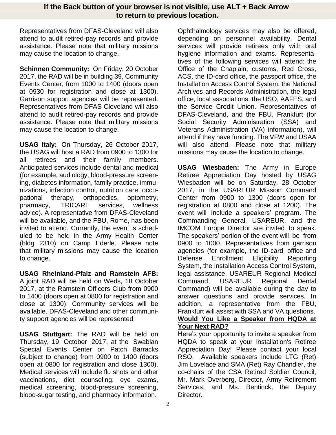Representatives from DFAS-Cleveland will also attend to audit retired-pay records and provide assistance. Please note that military missions may cause the location to change.

**Schinnen Community:** On Friday, 20 October 2017, the RAD will be in building 39, Community Events Center, from 1000 to 1400 (doors open at 0930 for registration and close at 1300). Garrison support agencies will be represented. Representatives from DFAS-Cleveland will also attend to audit retired-pay records and provide assistance. Please note that military missions may cause the location to change.

**USAG Italy:** On Thursday, 26 October 2017, the USAG will host a RAD from 0900 to 1300 for all retirees and their family members. Anticipated services include dental and medical (for example, audiology, blood-pressure screening, diabetes information, family practice, immunizations, infection control, nutrition care, occupational therapy, orthopedics, optometry, pharmacy, TRICARE services, wellness advice). A representative from DFAS-Cleveland will be available, and the FBU, Rome, has been invited to attend. Currently, the event is scheduled to be held in the Army Health Center (bldg 2310) on Camp Ederle. Please note that military missions may cause the location to change.

**USAG Rheinland-Pfalz and Ramstein AFB:** A joint RAD will be held on Weds, 18 October 2017, at the Ramstein Officers Club from 0900 to 1400 (doors open at 0800 for registration and close at 1300). Community services will be available. DFAS-Cleveland and other community support agencies will be represented.

**USAG Stuttgart:** The RAD will be held on Thursday, 19 October 2017, at the Swabian Special Events Center on Patch Barracks (subject to change) from 0900 to 1400 (doors open at 0800 for registration and close 1300). Medical services will include flu shots and other vaccinations, diet counseling, eye exams, medical screening, blood-pressure screening, blood-sugar testing, and pharmacy information.

Ophthalmology services may also be offered, depending on personnel availability. Dental services will provide retirees only with oral hygiene information and exams. Representatives of the following services will attend: the Office of the Chaplain, customs, Red Cross, ACS, the ID-card office, the passport office, the Installation Access Control System, the National Archives and Records Administration, the legal office, local associations, the USO, AAFES, and the Service Credit Union. Representatives of DFAS-Cleveland, and the FBU, Frankfurt (for Social Security Administration (SSA) and Veterans Administration (VA) information), will attend if they have funding. The VFW and USAA will also attend. Please note that military missions may cause the location to change.

**USAG Wiesbaden:** The Army in Europe Retiree Appreciation Day hosted by USAG Wiesbaden will be on Saturday, 28 October 2017, in the USAREUR Mission Command Center from 0900 to 1300 (doors open for registration at 0800 and close at 1200). The event will include a speakers' program. The Commanding General, USAREUR, and the IMCOM Europe Director are invited to speak. The speakers' portion of the event will be from 0900 to 1000. Representatives from garrison agencies (for example, the ID-card office and Defense Enrollment Eligibility Reporting System, the Installation Access Control System, legal assistance, USAREUR Regional Medical Command, USAREUR Regional Dental Command) will be available during the day to answer questions and provide services. In addition, a representative from the FBU, Frankfurt will assist with SSA and VA questions.

#### **Would You Like a Speaker from HQDA at Your Next RAD?**

Here's your opportunity to invite a speaker from HQDA to speak at your installation's Retiree Appreciation Day! Please contact your local RSO. Available speakers include LTG (Ret) Jim Lovelace and SMA (Ret) Ray Chandler, the co-chairs of the CSA Retired Soldier Council, Mr. Mark Overberg, Director, Army Retirement Services, and Ms. Bentinck, the Deputy Director.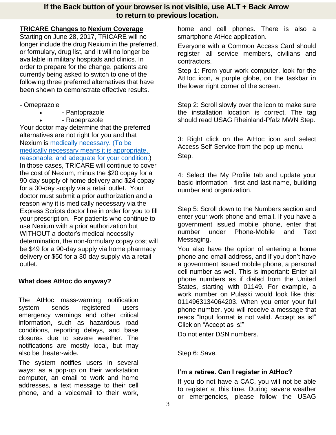# **TRICARE Changes to Nexium Coverage**

Starting on June 28, 2017, TRICARE will no longer include the drug Nexium in the preferred, or formulary, drug list, and it will no longer be available in military hospitals and clinics. In order to prepare for the change, patients are currently being asked to switch to one of the following three preferred alternatives that have been shown to demonstrate effective results.

- Omeprazole
	- Pantoprazole
	- Rabeprazole

Your doctor may determine that the preferred alternatives are not right for you and that Nexium is [medically necessary. \(To be](javascript:void(0))  [medically necessary means it is appropriate,](javascript:void(0))  [reasonable, and adequate for your condition.\)](javascript:void(0)) In those cases, TRICARE will continue to cover the cost of Nexium, minus the \$20 copay for a 90-day supply of home delivery and \$24 copay for a 30-day supply via a retail outlet. Your doctor must submit a prior authorization and a reason why it is medically necessary via the Express Scripts doctor line in order for you to fill your prescription. For patients who continue to use Nexium with a prior authorization but WITHOUT a doctor's medical necessity determination, the non-formulary copay cost will be \$49 for a 90-day supply via home pharmacy delivery or \$50 for a 30-day supply via a retail outlet.

# **What does AtHoc do anyway?**

The AtHoc mass-warning notification system sends registered users emergency warnings and other critical information, such as hazardous road conditions, reporting delays, and base closures due to severe weather. The notifications are mostly local, but may also be theater-wide.

The system notifies users in several ways: as a pop-up on their workstation computer, an email to work and home addresses, a text message to their cell phone, and a voicemail to their work,

home and cell phones. There is also a smartphone AtHoc application.

Everyone with a Common Access Card should register—all service members, civilians and contractors.

Step 1: From your work computer, look for the AtHoc icon, a purple globe, on the taskbar in the lower right corner of the screen.

Step 2: Scroll slowly over the icon to make sure the installation location is correct. The tag should read USAG Rheinland-Pfalz MWN Step.

3: Right click on the AtHoc icon and select Access Self-Service from the pop-up menu. Step.

4: Select the My Profile tab and update your basic information—first and last name, building number and organization.

Step 5: Scroll down to the Numbers section and enter your work phone and email. If you have a government issued mobile phone, enter that number under Phone-Mobile and Text Messaging.

You also have the option of entering a home phone and email address, and if you don't have a government issued mobile phone, a personal cell number as well. This is important: Enter all phone numbers as if dialed from the United States, starting with 01149. For example, a work number on Pulaski would look like this: 0114963134064203. When you enter your full phone number, you will receive a message that reads "Input format is not valid. Accept as is!" Click on "Accept as is!"

Do not enter DSN numbers.

Step 6: Save.

# **I'm a retiree. Can I register in AtHoc?**

If you do not have a CAC, you will not be able to register at this time. During severe weather or emergencies, please follow the USAG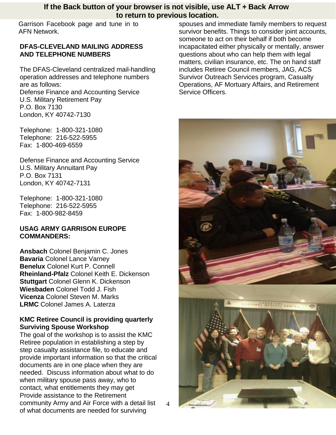Garrison Facebook page and tune in to AFN Network.

#### **DFAS-CLEVELAND MAILING ADDRESS AND TELEPHONE NUMBERS**

The DFAS-Cleveland centralized mail-handling operation addresses and telephone numbers are as follows: Defense Finance and Accounting Service U.S. Military Retirement Pay P.O. Box 7130 London, KY 40742-7130

Telephone: 1-800-321-1080 Telephone: 216-522-5955 Fax: 1-800-469-6559

Defense Finance and Accounting Service U.S. Military Annuitant Pay P.O. Box 7131 London, KY 40742-7131

Telephone: 1-800-321-1080 Telephone: 216-522-5955 Fax: 1-800-982-8459

#### **USAG ARMY GARRISON EUROPE COMMANDERS:**

**Ansbach** Colonel Benjamin C. Jones **Bavaria** Colonel Lance Varney **Benelux** Colonel Kurt P. Connell **Rheinland-Pfalz** Colonel Keith E. Dickenson **Stuttgart** Colonel Glenn K. Dickenson **Wiesbaden** Colonel Todd J. Fish **Vicenza** Colonel Steven M. Marks **LRMC** Colonel James A. Laterza

# **KMC Retiree Council is providing quarterly Surviving Spouse Workshop**

The goal of the workshop is to assist the KMC Retiree population in establishing a step by step casualty assistance file, to educate and provide important information so that the critical documents are in one place when they are needed. Discuss information about what to do when military spouse pass away, who to contact, what entitlements they may get Provide assistance to the Retirement community Army and Air Force with a detail list of what documents are needed for surviving

spouses and immediate family members to request survivor benefits. Things to consider joint accounts, someone to act on their behalf if both become incapacitated either physically or mentally, answer questions about who can help them with legal matters, civilian insurance, etc. The on hand staff includes Retiree Council members, JAG, ACS Survivor Outreach Services program, Casualty Operations, AF Mortuary Affairs, and Retirement Service Officers.

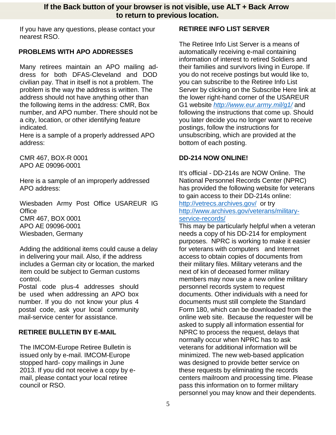If you have any questions, please contact your nearest RSO.

# <span id="page-6-0"></span>**PROBLEMS WITH APO ADDRESSES**

Many retirees maintain an APO mailing address for both DFAS-Cleveland and DOD civilian pay. That in itself is not a problem. The problem is the way the address is written. The address should not have anything other than the following items in the address: CMR, Box number, and APO number. There should not be a city, location, or other identifying feature indicated.

Here is a sample of a properly addressed APO address:

CMR 467, BOX-R 0001 APO AE 09096-0001

Here is a sample of an improperly addressed APO address:

Wiesbaden Army Post Office USAREUR IG **Office** CMR 467, BOX 0001 APO AE 09096-0001 Wiesbaden, Germany

Adding the additional items could cause a delay in delivering your mail. Also, if the address includes a German city or location, the marked item could be subject to German customs control.

Postal code plus-4 addresses should be used when addressing an APO box number. If you do not know your plus 4 postal code, ask your local community mail-service center for assistance.

# **RETIREE BULLETIN BY E-MAIL**

The IMCOM-Europe Retiree Bulletin is issued only by e-mail. IMCOM-Europe stopped hard- copy mailings in June 2013. If you did not receive a copy by email, please contact your local retiree council or RSO.

# **RETIREE INFO LIST SERVER**

The Retiree Info List Server is a means of automatically receiving e-mail containing information of interest to retired Soldiers and their families and survivors living in Europe. If you do not receive postings but would like to, you can subscribe to the Retiree Info List Server by clicking on the Subscribe Here link at the lower right-hand corner of the USAREUR G1 website *<http://www.eur.army.mil/g1/>* and following the instructions that come up. Should you later decide you no longer want to receive postings, follow the instructions for unsubscribing, which are provided at the bottom of each posting.

# **DD-214 NOW ONLINE!**

It's official - DD-214s are NOW Online. The National Personnel Records Center (NPRC) has provided the following website for veterans to gain access to their DD-214s online: <http://vetrecs.archives.gov/>or try [http://www.archives.gov/veterans/military](http://www.archives.gov/veterans/military-service-records/)[service-records/](http://www.archives.gov/veterans/military-service-records/) 

This may be particularly helpful when a veteran needs a copy of his DD-214 for employment purposes. NPRC is working to make it easier for veterans with computers and Internet access to obtain copies of documents from their military files. Military veterans and the next of kin of deceased former military members may now use a new online military personnel records system to request documents. Other individuals with a need for documents must still complete the Standard Form 180, which can be downloaded from the online web site. Because the requester will be asked to supply all information essential for NPRC to process the request, delays that normally occur when NPRC has to ask veterans for additional information will be minimized. The new web-based application was designed to provide better service on these requests by eliminating the records centers mailroom and processing time. Please pass this information on to former military personnel you may know and their dependents.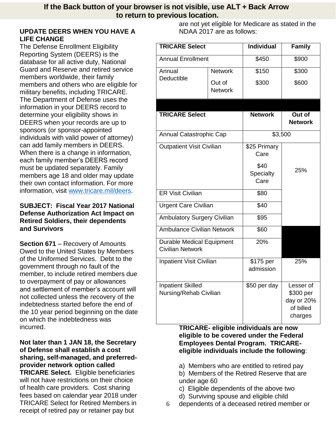# **UPDATE DEERS WHEN YOU HAVE A LIFE CHANGE**

The Defense Enrollment Eligibility Reporting System (DEERS) is the database for all active duty, National Guard and Reserve and retired service members worldwide, their family members and others who are eligible for military benefits, including TRICARE. The Department of Defense uses the information in your DEERS record to determine your eligibility shows in DEERS when your records are up to sponsors (or sponsor-appointed individuals with valid power of attorney) can add family members in DEERS. When there is a change in information, each family member's DEERS record must be updated separately. Family members age 18 and older may update their own contact information. For more information, visit [www.tricare.mil/deers.](http://www.tricare.mil/deers)

# **SUBJECT: Fiscal Year 2017 National Defense Authorization Act Impact on Retired Soldiers, their dependents and Survivors**

**Section 671** – Recovery of Amounts Owed to the United States by Members of the Uniformed Services. Debt to the government through no fault of the member, to include retired members due to overpayment of pay or allowances and settlement of member's account will not collected unless the recovery of the indebtedness started before the end of the 10 year period beginning on the date on which the indebtedness was incurred.

**Not later than 1 JAN 18, the Secretary of Defense shall establish a cost sharing, self-managed, and preferredprovider network option called TRICARE Select.** Eligible beneficiaries will not have restrictions on their choice of health care providers. Cost sharing fees based on calendar year 2018 under TRICARE Select for Retired Members in receipt of retired pay or retainer pay but

are not yet eligible for Medicare as stated in the NDAA 2017 are as follows:

| <b>TRICARE Select</b>                                       |                          | <b>Individual</b>         | <b>Family</b>                                                |  |
|-------------------------------------------------------------|--------------------------|---------------------------|--------------------------------------------------------------|--|
| <b>Annual Enrollment</b>                                    |                          | \$450                     | \$900                                                        |  |
| Annual                                                      | <b>Network</b>           | \$150                     | \$300                                                        |  |
| <b>Deductible</b>                                           | Out of<br><b>Network</b> | \$300                     | \$600                                                        |  |
|                                                             |                          |                           |                                                              |  |
| <b>TRICARE Select</b>                                       |                          | <b>Network</b>            | Out of<br><b>Network</b>                                     |  |
| Annual Catastrophic Cap                                     |                          | \$3,500                   |                                                              |  |
| <b>Outpatient Visit Civilian</b>                            |                          | \$25 Primary<br>Care      |                                                              |  |
|                                                             |                          | \$40<br>Specialty<br>Care | 25%                                                          |  |
| <b>ER Visit Civilian</b>                                    |                          | \$80                      |                                                              |  |
| <b>Urgent Care Civilian</b>                                 |                          | \$40                      |                                                              |  |
| <b>Ambulatory Surgery Civilian</b>                          |                          | \$95                      |                                                              |  |
| <b>Ambulance Civilian Network</b>                           |                          | \$60                      |                                                              |  |
| <b>Durable Medical Equipment</b><br><b>Civilian Network</b> |                          | 20%                       |                                                              |  |
| <b>Inpatient Visit Civilian</b>                             |                          | \$175 per<br>admission    | 25%                                                          |  |
| <b>Inpatient Skilled</b><br>Nursing/Rehab Civilian          |                          | \$50 per day              | Lesser of<br>\$300 per<br>day or 20%<br>of billed<br>charges |  |

**TRICARE- eligible individuals are now eligible to be covered under the Federal Employees Dental Program. TRICAREeligible individuals include the following**:

a) Members who are entitled to retired pay

b) Members of the Retired Reserve that are under age 60

- c) Eligible dependents of the above two
- d) Surviving spouse and eligible child
- 6 dependents of a deceased retired member or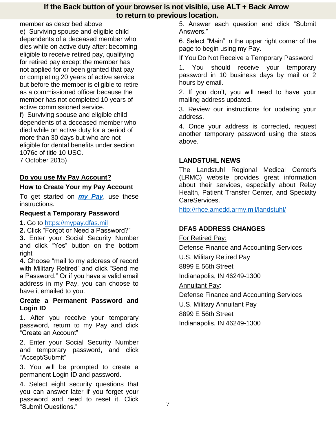member as described above e) Surviving spouse and eligible child dependents of a deceased member who dies while on active duty after: becoming eligible to receive retired pay, qualifying for retired pay except the member has not applied for or been granted that pay or completing 20 years of active service but before the member is eligible to retire as a commissioned officer because the member has not completed 10 years of active commissioned service. f) Surviving spouse and eligible child dependents of a deceased member who died while on active duty for a period of more than 30 days but who are not eligible for dental benefits under section 1076c of title 10 USC. 7 October 2015)

# **Do you use My Pay Account?**

# **How to Create Your my Pay Account**

To get started on *[my Pay](http://mypay.dfas.mil/mypay.aspx)*, use these instructions.

#### **Request a Temporary Password**

#### **1.** Go to [https://mypay.dfas.mil](https://mypay.dfas.mil/)

**2.** Click "Forgot or Need a Password?" **3.** Enter your Social Security Number and click "Yes" button on the bottom right

**4.** Choose "mail to my address of record with Military Retired" and click "Send me a Password." Or if you have a valid email address in my Pay, you can choose to have it emailed to you.

#### **Create a Permanent Password and Login ID**

1. After you receive your temporary password, return to my Pay and click "Create an Account"

2. Enter your Social Security Number and temporary password, and click "Accept/Submit"

3. You will be prompted to create a permanent Login ID and password.

4. Select eight security questions that you can answer later if you forget your password and need to reset it. Click "Submit Questions."

5. Answer each question and click "Submit Answers."

6. Select "Main" in the upper right corner of the page to begin using my Pay.

If You Do Not Receive a Temporary Password

1. You should receive your temporary password in 10 business days by mail or 2 hours by email.

2. If you don't, you will need to have your mailing address updated.

3. Review our instructions for updating your address.

4. Once your address is corrected, request another temporary password using the steps above.

# **LANDSTUHL NEWS**

The Landstuhl Regional Medical Center's (LRMC) website provides great information about their services, especially about Relay Health, Patient Transfer Center, and Specialty CareServices.

<http://rhce.amedd.army.mil/landstuhl/>

# **DFAS ADDRESS CHANGES**

For Retired Pay: Defense Finance and Accounting Services U.S. Military Retired Pay 8899 E 56th Street Indianapolis, IN 46249-1300 Annuitant Pay: Defense Finance and Accounting Services U.S. Military Annuitant Pay 8899 E 56th Street Indianapolis, IN 46249-1300